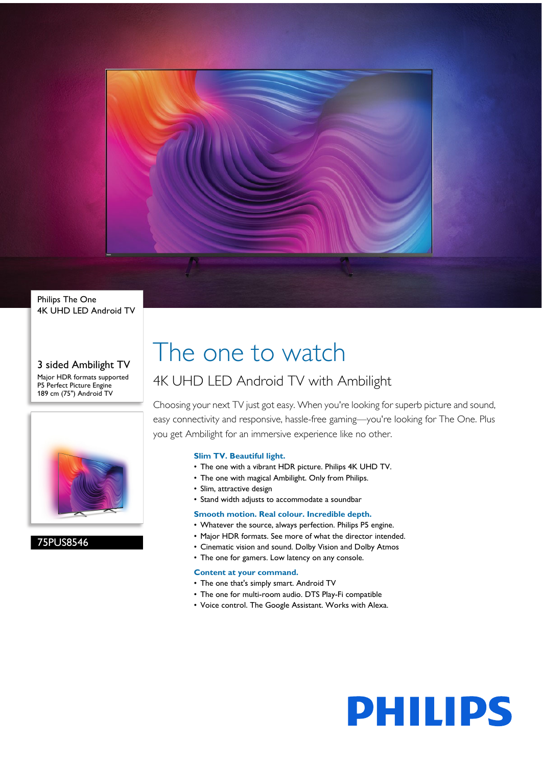

### Philips The One 4K UHD LED Android TV

#### 3 sided Ambilight TV Major HDR formats supported P5 Perfect Picture Engine 189 cm (75") Android TV



# 75PUS8546

# The one to watch

# 4K UHD LED Android TV with Ambilight

Choosing your next TV just got easy. When you're looking for superb picture and sound, easy connectivity and responsive, hassle-free gaming—you're looking for The One. Plus you get Ambilight for an immersive experience like no other.

# **Slim TV. Beautiful light.**

- The one with a vibrant HDR picture. Philips 4K UHD TV.
- The one with magical Ambilight. Only from Philips.
- Slim, attractive design
- Stand width adjusts to accommodate a soundbar

# **Smooth motion. Real colour. Incredible depth.**

- Whatever the source, always perfection. Philips P5 engine.
- Major HDR formats. See more of what the director intended.
- Cinematic vision and sound. Dolby Vision and Dolby Atmos
- The one for gamers. Low latency on any console.

# **Content at your command.**

- The one that's simply smart. Android TV
- The one for multi-room audio. DTS Play-Fi compatible
- Voice control. The Google Assistant. Works with Alexa.

# **PHILIPS**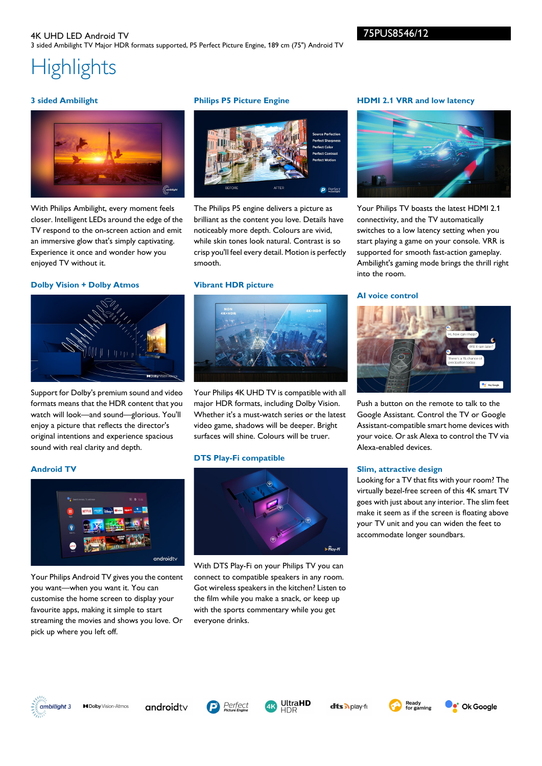# **Highlights**

# **3 sided Ambilight**



With Philips Ambilight, every moment feels closer. Intelligent LEDs around the edge of the TV respond to the on-screen action and emit an immersive glow that's simply captivating. Experience it once and wonder how you enjoyed TV without it.

#### **Dolby Vision + Dolby Atmos**



Support for Dolby's premium sound and video formats means that the HDR content that you watch will look—and sound—glorious. You'll enjoy a picture that reflects the director's original intentions and experience spacious sound with real clarity and depth.

# **Philips P5 Picture Engine**



The Philips P5 engine delivers a picture as brilliant as the content you love. Details have noticeably more depth. Colours are vivid, while skin tones look natural. Contrast is so crisp you'll feel every detail. Motion is perfectly smooth.

#### **Vibrant HDR picture**



Your Philips 4K UHD TV is compatible with all major HDR formats, including Dolby Vision. Whether it's a must-watch series or the latest video game, shadows will be deeper. Bright surfaces will shine. Colours will be truer.

#### **DTS Play-Fi compatible**



With DTS Play-Fi on your Philips TV you can connect to compatible speakers in any room. Got wireless speakers in the kitchen? Listen to the film while you make a snack, or keep up with the sports commentary while you get everyone drinks.

# **HDMI 2.1 VRR and low latency**



Your Philips TV boasts the latest HDMI 2.1 connectivity, and the TV automatically switches to a low latency setting when you start playing a game on your console. VRR is supported for smooth fast-action gameplay. Ambilight's gaming mode brings the thrill right into the room.

#### **AI voice control**



Push a button on the remote to talk to the Google Assistant. Control the TV or Google Assistant-compatible smart home devices with your voice. Or ask Alexa to control the TV via Alexa-enabled devices.

#### **Slim, attractive design**

Looking for a TV that fits with your room? The virtually bezel-free screen of this 4K smart TV goes with just about any interior. The slim feet make it seem as if the screen is floating above your TV unit and you can widen the feet to accommodate longer soundbars.





Your Philips Android TV gives you the content you want—when you want it. You can customise the home screen to display your favourite apps, making it simple to start streaming the movies and shows you love. Or pick up where you left off.



**MDolby** Vision-Atmos

androidty





dts Aplay-fr